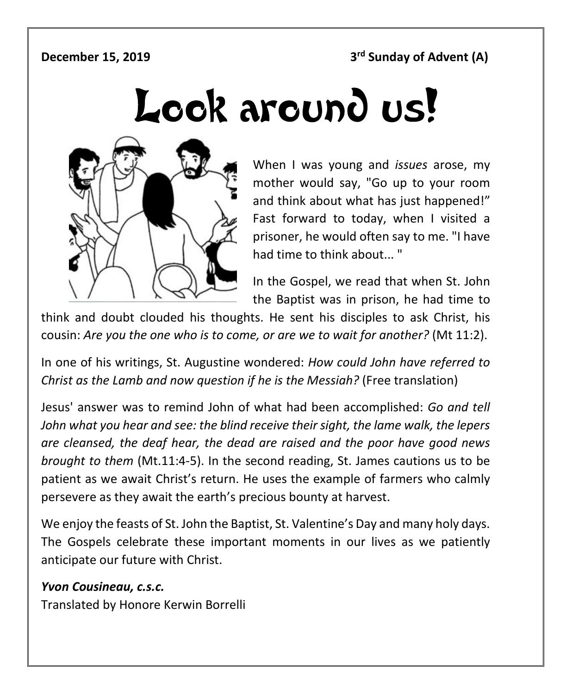**December 15, 2019 3<sup>rd</sup> Sunday of Advent (A)** 

# Look around us!



When I was young and *issues* arose, my mother would say, "Go up to your room and think about what has just happened!" Fast forward to today, when I visited a prisoner, he would often say to me. "I have had time to think about... "

In the Gospel, we read that when St. John the Baptist was in prison, he had time to

think and doubt clouded his thoughts. He sent his disciples to ask Christ, his cousin: *Are you the one who is to come, or are we to wait for another?* (Mt 11:2).

In one of his writings, St. Augustine wondered: *How could John have referred to Christ as the Lamb and now question if he is the Messiah?* (Free translation)

Jesus' answer was to remind John of what had been accomplished: *Go and tell John what you hear and see: the blind receive their sight, the lame walk, the lepers are cleansed, the deaf hear, the dead are raised and the poor have good news brought to them* (Mt.11:4-5). In the second reading, St. James cautions us to be patient as we await Christ's return. He uses the example of farmers who calmly persevere as they await the earth's precious bounty at harvest.

We enjoy the feasts of St. John the Baptist, St. Valentine's Day and many holy days. The Gospels celebrate these important moments in our lives as we patiently anticipate our future with Christ.

### *Yvon Cousineau, c.s.c.*

Translated by Honore Kerwin Borrelli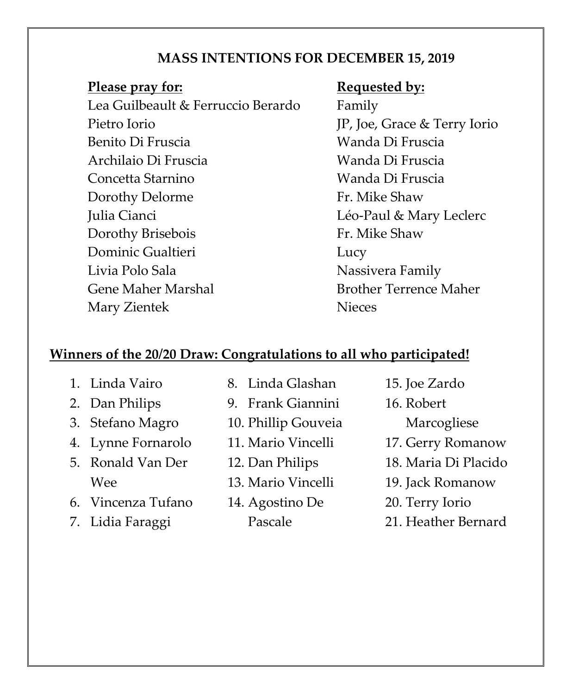### **MASS INTENTIONS FOR DECEMBER 15, 2019**

### **Please pray for: Requested by:**

Lea Guilbeault & Ferruccio Berardo Family Pietro Iorio JP, Joe, Grace & Terry Iorio Benito Di Fruscia **Wanda Di Fruscia** Archilaio Di Fruscia Wanda Di Fruscia Concetta Starnino Wanda Di Fruscia Dorothy Delorme Fr. Mike Shaw Julia Cianci **Léo-Paul & Mary Leclerc** Dorothy Brisebois Fr. Mike Shaw Dominic Gualtieri **Lucy** Livia Polo Sala Nassivera Family Gene Maher Marshal Brother Terrence Maher Mary Zientek Nieces

### **Winners of the 20/20 Draw: Congratulations to all who participated!**

- 1. Linda Vairo
- 2. Dan Philips
- 3. Stefano Magro
- 4. Lynne Fornarolo
- 5. Ronald Van Der Wee
- 6. Vincenza Tufano
- 7. Lidia Faraggi
- 8. Linda Glashan
- 9. Frank Giannini
- 10. Phillip Gouveia
- 11. Mario Vincelli
- 12. Dan Philips
- 13. Mario Vincelli
- 14. Agostino De Pascale
- 15. Joe Zardo
- 16. Robert
	- Marcogliese
- 17. Gerry Romanow
- 18. Maria Di Placido
- 19. Jack Romanow
- 20. Terry Iorio
- 21. Heather Bernard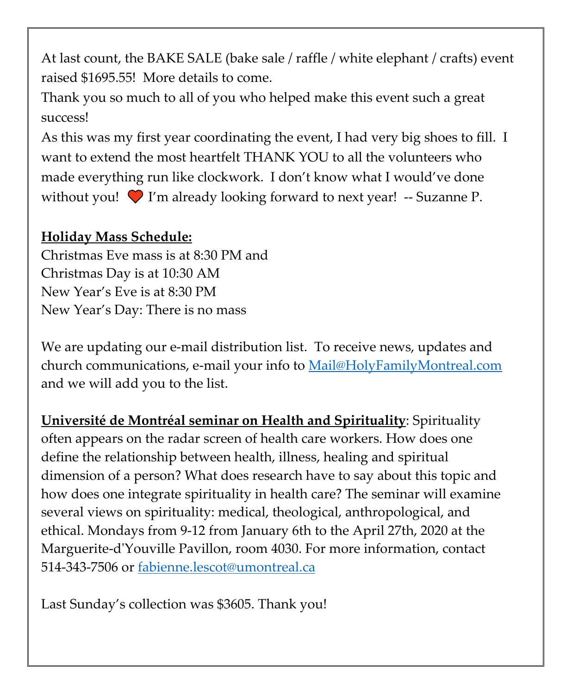At last count, the BAKE SALE (bake sale / raffle / white elephant / crafts) event raised \$1695.55! More details to come.

Thank you so much to all of you who helped make this event such a great success!

As this was my first year coordinating the event, I had very big shoes to fill. I want to extend the most heartfelt THANK YOU to all the volunteers who made everything run like clockwork. I don't know what I would've done without you!  $\bigcirc$  I'm already looking forward to next year! -- Suzanne P.

# **Holiday Mass Schedule:**

Christmas Eve mass is at 8:30 PM and Christmas Day is at 10:30 AM New Year's Eve is at 8:30 PM New Year's Day: There is no mass

We are updating our e-mail distribution list. To receive news, updates and church communications, e-mail your info to [Mail@HolyFamilyMontreal.com](mailto:Mail@HolyFamilyMontreal.com) and we will add you to the list.

**Université de Montréal seminar on Health and Spirituality**: Spirituality often appears on the radar screen of health care workers. How does one define the relationship between health, illness, healing and spiritual dimension of a person? What does research have to say about this topic and how does one integrate spirituality in health care? The seminar will examine several views on spirituality: medical, theological, anthropological, and ethical. Mondays from 9-12 from January 6th to the April 27th, 2020 at the Marguerite-d'Youville Pavillon, room 4030. For more information, contact 514-343-7506 or [fabienne.lescot@umontreal.ca](mailto:fabienne.lescot@umontreal.ca)

Last Sunday's collection was \$3605. Thank you!